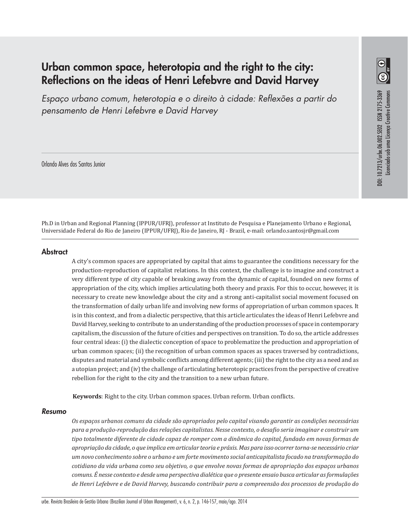

# **Urban common space, heterotopia and the right to the city: Reflections on the ideas of Henri Lefebvre and David Harvey**

Espaço urbano comum, heterotopia e o direito à cidade: Reflexões a partir do pensamento de Henri Lefebvre e David Harvey

Orlando Alves dos Santos Junior

Ph.D in Urban and Regional Planning (IPPUR/UFRJ), professor at Instituto de Pesquisa e Planejamento Urbano e Regional, Universidade Federal do Rio de Janeiro (IPPUR/UFRJ), Rio de Janeiro, RJ - Brazil, e-mail: orlando.santosjr@gmail.com

## **Abstract**

A city's common spaces are appropriated by capital that aims to guarantee the conditions necessary for the production-reproduction of capitalist relations. In this context, the challenge is to imagine and construct a very different type of city capable of breaking away from the dynamic of capital, founded on new forms of appropriation of the city, which implies articulating both theory and praxis. For this to occur, however, it is necessary to create new knowledge about the city and a strong anti-capitalist social movement focused on the transformation of daily urban life and involving new forms of appropriation of urban common spaces. It is in this context, and from a dialectic perspective, that this article articulates the ideas of Henri Lefebvre and David Harvey, seeking to contribute to an understanding of the production processes of space in contemporary capitalism, the discussion of the future of cities and perspectives on transition. To do so, the article addresses four central ideas: (i) the dialectic conception of space to problematize the production and appropriation of urban common spaces; (ii) the recognition of urban common spaces as spaces traversed by contradictions, disputes and material and symbolic conflicts among different agents; (iii) the right to the city as a need and as a utopian project; and (iv) the challenge of articulating heterotopic practices from the perspective of creative rebellion for the right to the city and the transition to a new urban future.

**Keywords**: Right to the city. Urban common spaces. Urban reform. Urban conflicts.

#### *Resumo*

*Os espaços urbanos comuns da cidade são apropriados pelo capital visando garantir as condições necessárias para a produção-reprodução das relações capitalistas. Nesse contexto, o desaϔio seria imaginar e construir um tipo totalmente diferente de cidade capaz de romper com a dinâmica do capital, fundado em novas formas de apropriação da cidade, o que implica em articular teoria e práxis. Mas para isso ocorrer torna-se necessário criar um novo conhecimento sobre o urbano e um forte movimento social anticapitalista focado na transformação do cotidiano da vida urbana como seu objetivo, o que envolve novas formas de apropriação dos espaços urbanos comuns. É nesse contexto e desde uma perspectiva dialética que o presente ensaio busca articular as formulações de Henri Lefebvre e de David Harvey, buscando contribuir para a compreensão dos processos de produção do*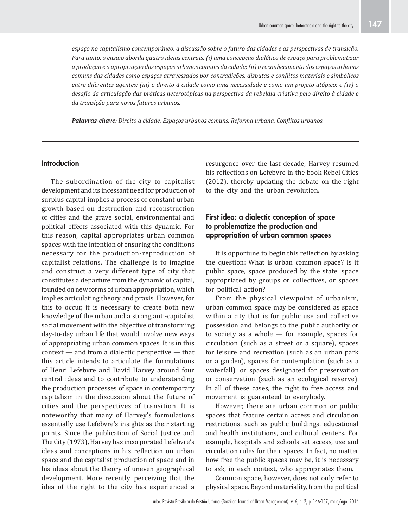*espaço no capitalismo contemporâneo, a discussão sobre o futuro das cidades e as perspectivas de transição. Para tanto, o ensaio aborda quatro ideias centrais: (i) uma concepção dialética de espaço para problematizar a produção e a apropriação dos espaços urbanos comuns da cidade; (ii) o reconhecimento dos espaços urbanos comuns das cidades como espaços atravessados por contradições, disputas e conϔlitos materiais e simbólicos entre diferentes agentes; (iii) o direito à cidade como uma necessidade e como um projeto utópico; e (iv) o desaϔio da articulação das práticas heterotópicas na perspectiva da rebeldia criativa pelo direito à cidade e da transição para novos futuros urbanos.*

*Palavras-chave: Direito à cidade. Espaços urbanos comuns. Reforma urbana. Conϔlitos urbanos.*

## **Introduction**

The subordination of the city to capitalist development and its incessant need for production of surplus capital implies a process of constant urban growth based on destruction and reconstruction of cities and the grave social, environmental and political effects associated with this dynamic. For this reason, capital appropriates urban common spaces with the intention of ensuring the conditions necessary for the production-reproduction of capitalist relations. The challenge is to imagine and construct a very different type of city that constitutes a departure from the dynamic of capital, founded on new forms of urban appropriation, which implies articulating theory and praxis. However, for this to occur, it is necessary to create both new knowledge of the urban and a strong anti-capitalist social movement with the objective of transforming day-to-day urban life that would involve new ways of appropriating urban common spaces. It is in this context — and from a dialectic perspective — that this article intends to articulate the formulations of Henri Lefebvre and David Harvey around four central ideas and to contribute to understanding the production processes of space in contemporary capitalism in the discussion about the future of cities and the perspectives of transition. It is noteworthy that many of Harvey's formulations essentially use Lefebvre's insights as their starting points. Since the publication of Social Justice and The City (1973), Harvey has incorporated Lefebvre's ideas and conceptions in his reflection on urban space and the capitalist production of space and in his ideas about the theory of uneven geographical development. More recently, perceiving that the idea of the right to the city has experienced a

resurgence over the last decade, Harvey resumed his reflections on Lefebvre in the book Rebel Cities (2012), thereby updating the debate on the right to the city and the urban revolution.

## **First idea: a dialectic conception of space to problematize the production and appropriation of urban common spaces**

It is opportune to begin this reflection by asking the question: What is urban common space? Is it public space, space produced by the state, space appropriated by groups or collectives, or spaces for political action?

From the physical viewpoint of urbanism, urban common space may be considered as space within a city that is for public use and collective possession and belongs to the public authority or to society as a whole — for example, spaces for circulation (such as a street or a square), spaces for leisure and recreation (such as an urban park or a garden), spaces for contemplation (such as a waterfall), or spaces designated for preservation or conservation (such as an ecological reserve). In all of these cases, the right to free access and movement is guaranteed to everybody.

However, there are urban common or public spaces that feature certain access and circulation restrictions, such as public buildings, educational and health institutions, and cultural centers. For example, hospitals and schools set access, use and circulation rules for their spaces. In fact, no matter how free the public spaces may be, it is necessary to ask, in each context, who appropriates them.

Common space, however, does not only refer to physical space. Beyond materiality, from the political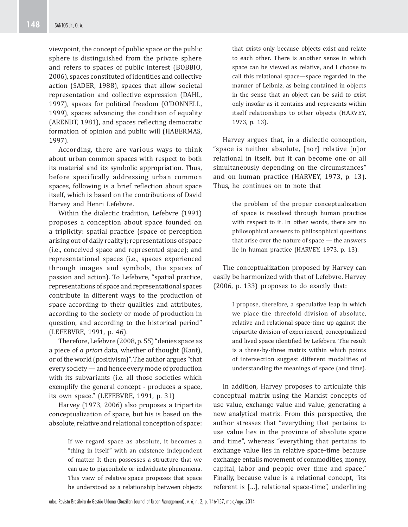viewpoint, the concept of public space or the public sphere is distinguished from the private sphere and refers to spaces of public interest (BOBBIO, 2006), spaces constituted of identities and collective action (SADER, 1988), spaces that allow societal representation and collective expression (DAHL, 1997), spaces for political freedom (O'DONNELL, 1999), spaces advancing the condition of equality (ARENDT, 1981), and spaces reflecting democratic formation of opinion and public will (HABERMAS, 1997).

According, there are various ways to think about urban common spaces with respect to both its material and its symbolic appropriation. Thus, before specifically addressing urban common spaces, following is a brief reflection about space itself, which is based on the contributions of David Harvey and Henri Lefebvre.

Within the dialectic tradition, Lefebvre (1991) proposes a conception about space founded on a triplicity: spatial practice (space of perception arising out of daily reality); representations of space (i.e., conceived space and represented space); and representational spaces (i.e., spaces experienced through images and symbols, the spaces of passion and action). To Lefebvre, "spatial practice, representations of space and representational spaces contribute in different ways to the production of space according to their qualities and attributes, according to the society or mode of production in question, and according to the historical period" (LEFEBVRE, 1991, p. 46).

Therefore, Lefebvre (2008, p. 55) "denies space as a piece of *a priori* data, whether of thought (Kant), or of the world (positivism)". The author argues "that every society — and hence every mode of production with its subvariants (i.e. all those societies which exemplify the general concept - produces a space, its own space." (LEFEBVRE, 1991, p. 31)

Harvey (1973, 2006) also proposes a tripartite conceptualization of space, but his is based on the absolute, relative and relational conception of space:

> If we regard space as absolute, it becomes a "thing in itself" with an existence independent of matter. It then possesses a structure that we can use to pigeonhole or individuate phenomena. This view of relative space proposes that space be understood as a relationship between objects

that exists only because objects exist and relate to each other. There is another sense in which space can be viewed as relative, and I choose to call this relational space—space regarded in the manner of Leibniz, as being contained in objects in the sense that an object can be said to exist only insofar as it contains and represents within itself relationships to other objects (HARVEY, 1973, p. 13).

Harvey argues that, in a dialectic conception, "space is neither absolute, [nor] relative [n]or relational in itself, but it can become one or all simultaneously depending on the circumstances" and on human practice (HARVEY, 1973, p. 13). Thus, he continues on to note that

> the problem of the proper conceptualization of space is resolved through human practice with respect to it. In other words, there are no philosophical answers to philosophical questions that arise over the nature of space — the answers lie in human practice (HARVEY, 1973, p. 13).

The conceptualization proposed by Harvey can easily be harmonized with that of Lefebvre. Harvey (2006, p. 133) proposes to do exactly that:

> I propose, therefore, a speculative leap in which we place the threefold division of absolute, relative and relational space-time up against the tripartite division of experienced, conceptualized and lived space identified by Lefebvre. The result is a three-by-three matrix within which points of intersection suggest different modalities of understanding the meanings of space (and time).

In addition, Harvey proposes to articulate this conceptual matrix using the Marxist concepts of use value, exchange value and value, generating a new analytical matrix. From this perspective, the author stresses that "everything that pertains to use value lies in the province of absolute space and time", whereas "everything that pertains to exchange value lies in relative space-time because exchange entails movement of commodities, money, capital, labor and people over time and space." Finally, because value is a relational concept, "its referent is […], relational space-time", underlining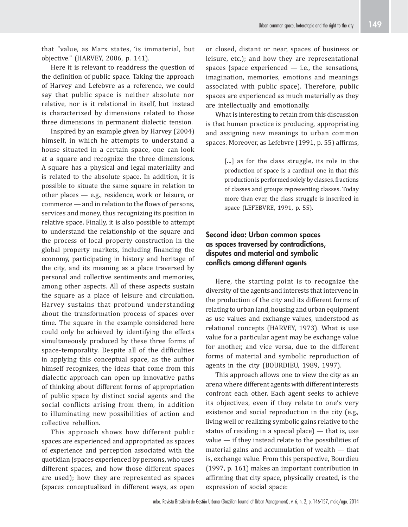that "value, as Marx states, 'is immaterial, but objective." (HARVEY, 2006, p. 141).

Here it is relevant to readdress the question of the definition of public space. Taking the approach of Harvey and Lefebvre as a reference, we could say that public space is neither absolute nor relative, nor is it relational in itself, but instead is characterized by dimensions related to those three dimensions in permanent dialectic tension.

Inspired by an example given by Harvey (2004) himself, in which he attempts to understand a house situated in a certain space, one can look at a square and recognize the three dimensions. A square has a physical and legal materiality and is related to the absolute space. In addition, it is possible to situate the same square in relation to other places — e.g., residence, work or leisure, or commerce — and in relation to the flows of persons, services and money, thus recognizing its position in relative space. Finally, it is also possible to attempt to understand the relationship of the square and the process of local property construction in the global property markets, including financing the economy, participating in history and heritage of the city, and its meaning as a place traversed by personal and collective sentiments and memories, among other aspects. All of these aspects sustain the square as a place of leisure and circulation. Harvey sustains that profound understanding about the transformation process of spaces over time. The square in the example considered here could only be achieved by identifying the effects simultaneously produced by these three forms of space-temporality. Despite all of the difficulties in applying this conceptual space, as the author himself recognizes, the ideas that come from this dialectic approach can open up innovative paths of thinking about different forms of appropriation of public space by distinct social agents and the social conflicts arising from them, in addition to illuminating new possibilities of action and collective rebellion.

This approach shows how different public spaces are experienced and appropriated as spaces of experience and perception associated with the quotidian (spaces experienced by persons, who uses different spaces, and how those different spaces are used); how they are represented as spaces (spaces conceptualized in different ways, as open

or closed, distant or near, spaces of business or leisure, etc.); and how they are representational spaces (space experienced  $-$  i.e., the sensations, imagination, memories, emotions and meanings associated with public space). Therefore, public spaces are experienced as much materially as they are intellectually and emotionally.

What is interesting to retain from this discussion is that human practice is producing, appropriating and assigning new meanings to urban common spaces. Moreover, as Lefebvre (1991, p. 55) affirms,

> [...] as for the class struggle, its role in the production of space is a cardinal one in that this production is performed solely by classes, fractions of classes and groups representing classes. Today more than ever, the class struggle is inscribed in space (LEFEBVRE, 1991, p. 55).

## **Second idea: Urban common spaces as spaces traversed by contradictions, disputes and material and symbolic confl icts among different agents**

Here, the starting point is to recognize the diversity of the agents and interests that intervene in the production of the city and its different forms of relating to urban land, housing and urban equipment as use values and exchange values, understood as relational concepts (HARVEY, 1973). What is use value for a particular agent may be exchange value for another, and vice versa, due to the different forms of material and symbolic reproduction of agents in the city (BOURDIEU, 1989, 1997).

This approach allows one to view the city as an arena where different agents with different interests confront each other. Each agent seeks to achieve its objectives, even if they relate to one's very existence and social reproduction in the city (e.g., living well or realizing symbolic gains relative to the status of residing in a special place) — that is, use value — if they instead relate to the possibilities of material gains and accumulation of wealth — that is, exchange value. From this perspective, Bourdieu (1997, p. 161) makes an important contribution in affirming that city space, physically created, is the expression of social space: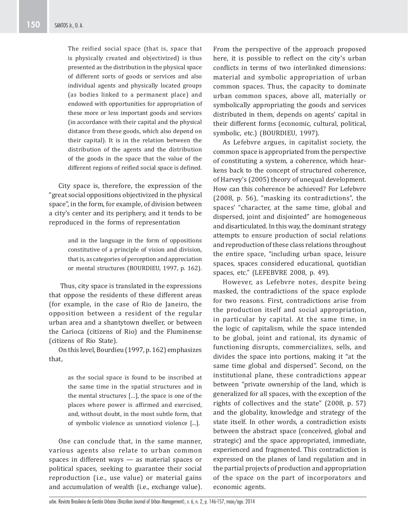The reified social space (that is, space that is physically created and objectivized) is thus presented as the distribution in the physical space of different sorts of goods or services and also individual agents and physically located groups (as bodies linked to a permanent place) and endowed with opportunities for appropriation of these more or less important goods and services (in accordance with their capital and the physical distance from these goods, which also depend on their capital). It is in the relation between the distribution of the agents and the distribution of the goods in the space that the value of the different regions of reified social space is defined.

City space is, therefore, the expression of the "great social oppositions objectivized in the physical space", in the form, for example, of division between a city's center and its periphery, and it tends to be reproduced in the forms of representation

> and in the language in the form of oppositions constitutive of a principle of vision and division, that is, as categories of perception and appreciation or mental structures (BOURDIEU, 1997, p. 162).

 Thus, city space is translated in the expressions that oppose the residents of these different areas (for example, in the case of Rio de Janeiro, the opposition between a resident of the regular urban area and a shantytown dweller, or between the Carioca (citizens of Rio) and the Fluminense (citizens of Rio State).

On this level, Bourdieu (1997, p. 162) emphasizes that,

> as the social space is found to be inscribed at the same time in the spatial structures and in the mental structures […], the space is one of the places where power is affirmed and exercised, and, without doubt, in the most subtle form, that of symbolic violence as unnoticed violence [...].

One can conclude that, in the same manner, various agents also relate to urban common spaces in different ways — as material spaces or political spaces, seeking to guarantee their social reproduction (i.e., use value) or material gains and accumulation of wealth (i.e., exchange value). From the perspective of the approach proposed here, it is possible to reflect on the city's urban conflicts in terms of two interlinked dimensions: material and symbolic appropriation of urban common spaces. Thus, the capacity to dominate urban common spaces, above all, materially or symbolically appropriating the goods and services distributed in them, depends on agents' capital in their different forms (economic, cultural, political, symbolic, etc.) (BOURDIEU, 1997).

As Lefebvre argues, in capitalist society, the common space is appropriated from the perspective of constituting a system, a coherence, which hearkens back to the concept of structured coherence, of Harvey's (2005) theory of unequal development. How can this coherence be achieved? For Lefebvre (2008, p. 56), "masking its contradictions", the spaces' "character, at the same time, global and dispersed, joint and disjointed" are homogeneous and disarticulated. In this way, the dominant strategy attempts to ensure production of social relations and reproduction of these class relations throughout the entire space, "including urban space, leisure spaces, spaces considered educational, quotidian spaces, etc." (LEFEBVRE 2008, p. 49).

However, as Lefebvre notes, despite being masked, the contradictions of the space explode for two reasons. First, contradictions arise from the production itself and social appropriation, in particular by capital. At the same time, in the logic of capitalism, while the space intended to be global, joint and rational, its dynamic of functioning disrupts, commercializes, sells, and divides the space into portions, making it "at the same time global and dispersed". Second, on the institutional plane, these contradictions appear between "private ownership of the land, which is generalized for all spaces, with the exception of the rights of collectives and the state" (2008, p. 57) and the globality, knowledge and strategy of the state itself. In other words, a contradiction exists between the abstract space (conceived, global and strategic) and the space appropriated, immediate, experienced and fragmented. This contradiction is expressed on the planes of land regulation and in the partial projects of production and appropriation of the space on the part of incorporators and economic agents.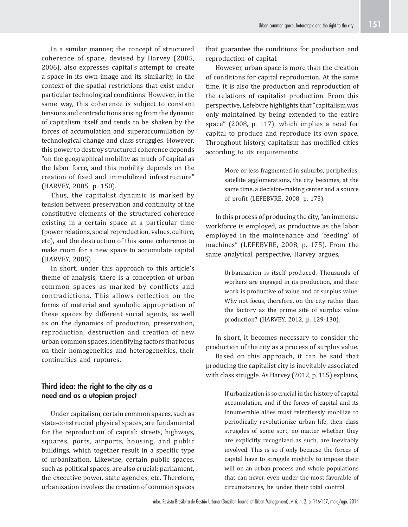In a similar manner, the concept of structured coherence of space, devised by Harvey (2005, 2006), also expresses capital's attempt to create a space in its own image and its similarity, in the context of the spatial restrictions that exist under particular technological conditions. However, in the same way, this coherence is subject to constant tensions and contradictions arising from the dynamic of capitalism itself and tends to be shaken by the forces of accumulation and superaccumulation by technological change and class struggles. However, this power to destroy structured coherence depends "on the geographical mobility as much of capital as the labor force, and this mobility depends on the creation of fixed and immobilized infrastructure" (HARVEY, 2005, p. 150).

Thus, the capitalist dynamic is marked by tension between preservation and continuity of the constitutive elements of the structured coherence existing in a certain space at a particular time (power relations, social reproduction, values, culture, etc), and the destruction of this same coherence to make room for a new space to accumulate capital (HARVEY, 2005)

In short, under this approach to this article's theme of analysis, there is a conception of urban common spaces as marked by conflicts and contradictions. This allows reflection on the forms of material and symbolic appropriation of these spaces by different social agents, as well as on the dynamics of production, preservation, reproduction, destruction and creation of new urban common spaces, identifying factors that focus on their homogeneities and heterogeneities, their continuities and ruptures.

## **Third idea: the right to the city as a need and as a utopian project**

Under capitalism, certain common spaces, such as state-constructed physical spaces, are fundamental for the reproduction of capital: streets, highways, squares, ports, airports, housing, and public buildings, which together result in a specific type of urbanization. Likewise, certain public spaces, such as political spaces, are also crucial: parliament, the executive power, state agencies, etc. Therefore, urbanization involves the creation of common spaces

that guarantee the conditions for production and reproduction of capital.

However, urban space is more than the creation of conditions for capital reproduction. At the same time, it is also the production and reproduction of the relations of capitalist production. From this perspective, Lefebvre highlights that "capitalism was only maintained by being extended to the entire space" (2008, p. 117), which implies a need for capital to produce and reproduce its own space. Throughout history, capitalism has modified cities according to its requirements:

> More or less fragmented in suburbs, peripheries, satellite agglomerations, the city becomes, at the same time, a decision-making center and a source of profit (LEFEBVRE, 2008, p. 175).

In this process of producing the city, "an immense workforce is employed, as productive as the labor employed in the maintenance and 'feeding' of machines" (LEFEBVRE, 2008, p. 175). From the same analytical perspective, Harvey argues,

> Urbanization is itself produced. Thousands of workers are engaged in its production, and their work is productive of value and of surplus value. Why not focus, therefore, on the city rather than the factory as the prime site of surplus value production? (HARVEY, 2012, p. 129-130).

In short, it becomes necessary to consider the production of the city as a process of surplus value.

Based on this approach, it can be said that producing the capitalist city is inevitably associated with class struggle. As Harvey (2012, p. 115) explains,

> If urbanization is so crucial in the history of capital accumulation, and if the forces of capital and its innumerable allies must relentlessly mobilize to periodically revolutionize urban life, then class struggles of some sort, no matter whether they are explicitly recognized as such, are inevitably involved. This is so if only because the forces of capital have to struggle mightily to impose their will on an urban process and whole populations that can never, even under the most favorable of circumstances, be under their total control.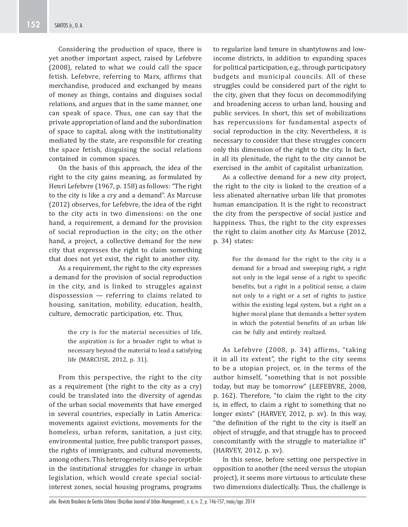Considering the production of space, there is yet another important aspect, raised by Lefebvre (2008), related to what we could call the space fetish. Lefebvre, referring to Marx, affirms that merchandise, produced and exchanged by means of money as things, contains and disguises social relations, and argues that in the same manner, one can speak of space. Thus, one can say that the private appropriation of land and the subordination of space to capital, along with the institutionality mediated by the state, are responsible for creating the space fetish, disguising the social relations contained in common spaces.

On the basis of this approach, the idea of the right to the city gains meaning, as formulated by Henri Lefebvre (1967, p. 158) as follows: "The right to the city is like a cry and a demand". As Marcuse (2012) observes, for Lefebvre, the idea of the right to the city acts in two dimensions: on the one hand, a requirement, a demand for the provision of social reproduction in the city; on the other hand, a project, a collective demand for the new city that expresses the right to claim something that does not yet exist, the right to another city.

As a requirement, the right to the city expresses a demand for the provision of social reproduction in the city, and is linked to struggles against dispossession — referring to claims related to housing, sanitation, mobility, education, health, culture, democratic participation, etc. Thus,

> the cry is for the material necessities of life, the aspiration is for a broader right to what is necessary beyond the material to lead a satisfying life (MARCUSE, 2012, p. 31).

From this perspective, the right to the city as a requirement (the right to the city as a cry) could be translated into the diversity of agendas of the urban social movements that have emerged in several countries, especially in Latin America: movements against evictions, movements for the homeless, urban reform, sanitation, a just city, environmental justice, free public transport passes, the rights of immigrants, and cultural movements, among others. This heterogeneity is also perceptible in the institutional struggles for change in urban legislation, which would create special socialinterest zones, social housing programs, programs to regularize land tenure in shantytowns and lowincome districts, in addition to expanding spaces for political participation, e.g., through participatory budgets and municipal councils. All of these struggles could be considered part of the right to the city, given that they focus on decommodifying and broadening access to urban land, housing and public services. In short, this set of mobilizations has repercussions for fundamental aspects of social reproduction in the city. Nevertheless, it is necessary to consider that these struggles concern only this dimension of the right to the city. In fact, in all its plenitude, the right to the city cannot be exercised in the ambit of capitalist urbanization.

As a collective demand for a new city project, the right to the city is linked to the creation of a less alienated alternative urban life that promotes human emancipation. It is the right to reconstruct the city from the perspective of social justice and happiness. Thus, the right to the city expresses the right to claim another city. As Marcuse (2012, p. 34) states:

> For the demand for the right to the city is a demand for a broad and sweeping right, a right not only in the legal sense of a right to specific benefits, but a right in a political sense, a claim not only to a right or a set of rights to justice within the existing legal system, but a right on a higher moral plane that demands a better system in which the potential benefits of an urban life can be fully and entirely realized.

As Lefebvre (2008, p. 34) affirms, "taking it in all its extent", the right to the city seems to be a utopian project, or, in the terms of the author himself, "something that is not possible today, but may be tomorrow" (LEFEBVRE, 2008, p. 162). Therefore, "to claim the right to the city is, in effect, to claim a right to something that no longer exists" (HARVEY, 2012, p. xv). In this way, "the definition of the right to the city is itself an object of struggle, and that struggle has to proceed concomitantly with the struggle to materialize it" (HARVEY, 2012, p. xv).

In this sense, before setting one perspective in opposition to another (the need versus the utopian project), it seems more virtuous to articulate these two dimensions dialectically. Thus, the challenge is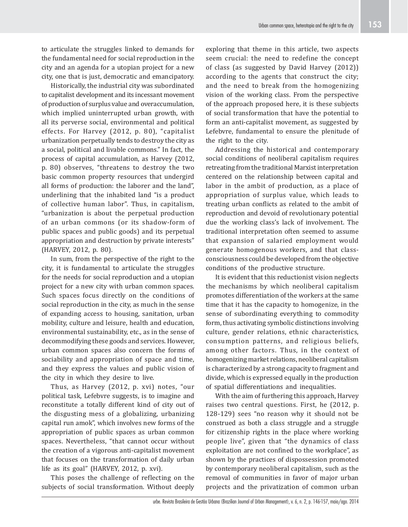to articulate the struggles linked to demands for the fundamental need for social reproduction in the city and an agenda for a utopian project for a new city, one that is just, democratic and emancipatory.

Historically, the industrial city was subordinated to capitalist development and its incessant movement of production of surplus value and overaccumulation, which implied uninterrupted urban growth, with all its perverse social, environmental and political effects. For Harvey (2012, p. 80), "capitalist urbanization perpetually tends to destroy the city as a social, political and livable commons." In fact, the process of capital accumulation, as Harvey (2012, p. 80) observes, "threatens to destroy the two basic common property resources that undergird all forms of production: the laborer and the land", underlining that the inhabited land "is a product of collective human labor". Thus, in capitalism, "urbanization is about the perpetual production of an urban commons (or its shadow-form of public spaces and public goods) and its perpetual appropriation and destruction by private interests" (HARVEY, 2012, p. 80).

In sum, from the perspective of the right to the city, it is fundamental to articulate the struggles for the needs for social reproduction and a utopian project for a new city with urban common spaces. Such spaces focus directly on the conditions of social reproduction in the city, as much in the sense of expanding access to housing, sanitation, urban mobility, culture and leisure, health and education, environmental sustainability, etc., as in the sense of decommodifying these goods and services. However, urban common spaces also concern the forms of sociability and appropriation of space and time, and they express the values and public vision of the city in which they desire to live.

Thus, as Harvey (2012, p. xvi) notes, "our political task, Lefebvre suggests, is to imagine and reconstitute a totally different kind of city out of the disgusting mess of a globalizing, urbanizing capital run amok", which involves new forms of the appropriation of public spaces as urban common spaces. Nevertheless, "that cannot occur without the creation of a vigorous anti-capitalist movement that focuses on the transformation of daily urban life as its goal" (HARVEY, 2012, p. xvi).

This poses the challenge of reflecting on the subjects of social transformation. Without deeply exploring that theme in this article, two aspects seem crucial: the need to redefine the concept of class (as suggested by David Harvey (2012)) according to the agents that construct the city; and the need to break from the homogenizing vision of the working class. From the perspective of the approach proposed here, it is these subjects of social transformation that have the potential to form an anti-capitalist movement, as suggested by Lefebvre, fundamental to ensure the plenitude of the right to the city.

Addressing the historical and contemporary social conditions of neoliberal capitalism requires retreating from the traditional Marxist interpretation centered on the relationship between capital and labor in the ambit of production, as a place of appropriation of surplus value, which leads to treating urban conflicts as related to the ambit of reproduction and devoid of revolutionary potential due the working class's lack of involvement. The traditional interpretation often seemed to assume that expansion of salaried employment would generate homogenous workers, and that classconsciousness could be developed from the objective conditions of the productive structure.

It is evident that this reductionist vision neglects the mechanisms by which neoliberal capitalism promotes differentiation of the workers at the same time that it has the capacity to homogenize, in the sense of subordinating everything to commodity form, thus activating symbolic distinctions involving culture, gender relations, ethnic characteristics, consumption patterns, and religious beliefs, among other factors. Thus, in the context of homogenizing market relations, neoliberal capitalism is characterized by a strong capacity to fragment and divide, which is expressed equally in the production of spatial differentiations and inequalities.

With the aim of furthering this approach, Harvey raises two central questions. First, he (2012, p. 128-129) sees "no reason why it should not be construed as both a class struggle and a struggle for citizenship rights in the place where working people live", given that "the dynamics of class exploitation are not confined to the workplace", as shown by the practices of dispossession promoted by contemporary neoliberal capitalism, such as the removal of communities in favor of major urban projects and the privatization of common urban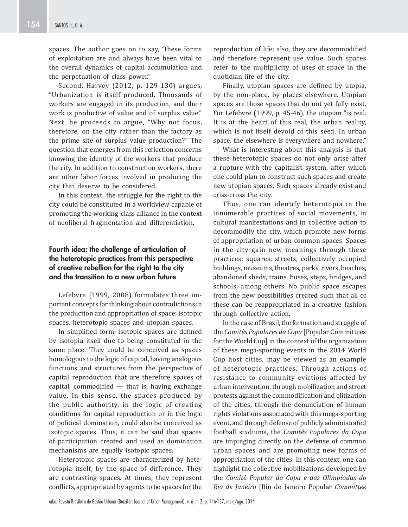spaces. The author goes on to say, "these forms of exploitation are and always have been vital to the overall dynamics of capital accumulation and the perpetuation of class power."

Second, Harvey (2012, p. 129-130) argues, "Urbanization is itself produced. Thousands of workers are engaged in its production, and their work is productive of value and of surplus value." Next, he proceeds to argue, "Why not focus, therefore, on the city rather than the factory as the prime site of surplus value production?" The question that emerges from this reflection concerns knowing the identity of the workers that produce the city. In addition to construction workers, there are other labor forces involved in producing the city that deserve to be considered.

In this context, the struggle for the right to the city could be constituted in a worldview capable of promoting the working-class alliance in the context of neoliberal fragmentation and differentiation.

## **Fourth idea: the challenge of articulation of the heterotopic practices from this perspective of creative rebellion for the right to the city and the transition to a new urban future**

Lefebvre (1999, 2008) formulates three important concepts for thinking about contradictions in the production and appropriation of space: isotopic spaces, heterotopic spaces and utopian spaces.

In simplified form, isotopic spaces are defined by isotopia itself due to being constituted in the same place. They could be conceived as spaces homologous to the logic of capital, having analogous functions and structures from the perspective of capital reproduction that are therefore spaces of capital, commodified  $-$  that is, having exchange value. In this sense, the spaces produced by the public authority, in the logic of creating conditions for capital reproduction or in the logic of political domination, could also be conceived as isotopic spaces. Thus, it can be said that spaces of participation created and used as domination mechanisms are equally isotopic spaces.

Heterotopic spaces are characterized by heterotopia itself, by the space of difference. They are contrasting spaces. At times, they represent conflicts, appropriated by agents to be spaces for the

reproduction of life; also, they are decommodified and therefore represent use value. Such spaces refer to the multiplicity of uses of space in the quotidian life of the city.

Finally, utopian spaces are defined by utopia, by the non-place, by places elsewhere. Utopian spaces are those spaces that do not yet fully exist. For Lefebvre (1999, p. 45-46), the utopian "is real. It is at the heart of this real, the urban reality, which is not itself devoid of this seed. In urban space, the elsewhere is everywhere and nowhere."

What is interesting about this analysis is that these heterotopic spaces do not only arise after a rupture with the capitalist system, after which one could plan to construct such spaces and create new utopian spaces. Such spaces already exist and criss-cross the city.

Thus, one can identify heterotopia in the innumerable practices of social movements, in cultural manifestations and in collective action to decommodify the city, which promote new forms of appropriation of urban common spaces. Spaces in the city gain new meanings through these practices: squares, streets, collectively occupied buildings, museums, theatres, parks, rivers, beaches, abandoned sheds, trains, buses, steps, bridges, and schools, among others. No public space escapes from the new possibilities created such that all of these can be reappropriated in a creative fashion through collective action.

In the case of Brazil, the formation and struggle of the *Comitês Populares da Copa* [Popular Committees for the World Cup] in the context of the organization of these mega-sporting events in the 2014 World Cup host cities, may be viewed as an example of heterotopic practices. Through actions of resistance to community evictions affected by urban intervention, through mobilization and street protests against the commodification and elitization of the cities, through the denunciation of human rights violations associated with this mega-sporting event, and through defense of publicly administrated football stadiums, the *Comitês Populares da Copa* are impinging directly on the defense of common urban spaces and are promoting new forms of appropriation of the cities. In this context, one can highlight the collective mobilizations developed by the *Comitê Popular da Copa e das Olimpíadas do Rio de Janeiro* [Rio de Janeiro Popular *Committee*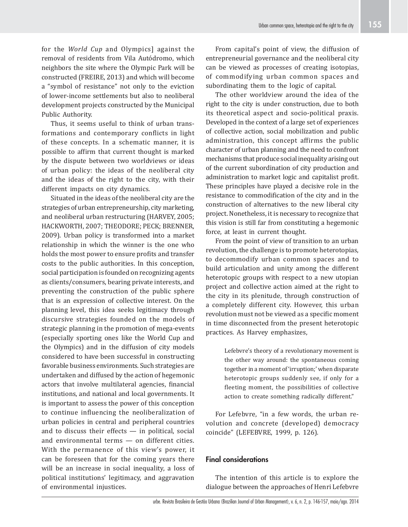for the *World Cup* and Olympics] against the removal of residents from Vila Autódromo, which neighbors the site where the Olympic Park will be constructed (FREIRE, 2013) and which will become a "symbol of resistance" not only to the eviction of lower-income settlements but also to neoliberal development projects constructed by the Municipal

Public Authority. Thus, it seems useful to think of urban transformations and contemporary conflicts in light of these concepts. In a schematic manner, it is possible to affirm that current thought is marked by the dispute between two worldviews or ideas of urban policy: the ideas of the neoliberal city and the ideas of the right to the city, with their different impacts on city dynamics.

Situated in the ideas of the neoliberal city are the strategies of urban entrepreneurship, city marketing, and neoliberal urban restructuring (HARVEY, 2005; HACKWORTH, 2007; THEODORE; PECK; BRENNER, 2009). Urban policy is transformed into a market relationship in which the winner is the one who holds the most power to ensure profits and transfer costs to the public authorities. In this conception, social participation is founded on recognizing agents as clients/consumers, bearing private interests, and preventing the construction of the public sphere that is an expression of collective interest. On the planning level, this idea seeks legitimacy through discursive strategies founded on the models of strategic planning in the promotion of mega-events (especially sporting ones like the World Cup and the Olympics) and in the diffusion of city models considered to have been successful in constructing favorable business environments. Such strategies are undertaken and diffused by the action of hegemonic actors that involve multilateral agencies, financial institutions, and national and local governments. It is important to assess the power of this conception to continue influencing the neoliberalization of urban policies in central and peripheral countries and to discuss their effects — in political, social and environmental terms — on different cities. With the permanence of this view's power, it can be foreseen that for the coming years there will be an increase in social inequality, a loss of political institutions' legitimacy, and aggravation of environmental injustices.

From capital's point of view, the diffusion of entrepreneurial governance and the neoliberal city can be viewed as processes of creating isotopias, of commodifying urban common spaces and subordinating them to the logic of capital.

The other worldview around the idea of the right to the city is under construction, due to both its theoretical aspect and socio-political praxis. Developed in the context of a large set of experiences of collective action, social mobilization and public administration, this concept affirms the public character of urban planning and the need to confront mechanisms that produce social inequality arising out of the current subordination of city production and administration to market logic and capitalist profit. These principles have played a decisive role in the resistance to commodification of the city and in the construction of alternatives to the new liberal city project. Nonetheless, it is necessary to recognize that this vision is still far from constituting a hegemonic force, at least in current thought.

From the point of view of transition to an urban revolution, the challenge is to promote heterotopias, to decommodify urban common spaces and to build articulation and unity among the different heterotopic groups with respect to a new utopian project and collective action aimed at the right to the city in its plenitude, through construction of a completely different city. However, this urban revolution must not be viewed as a specific moment in time disconnected from the present heterotopic practices. As Harvey emphasizes,

> Lefebvre's theory of a revolutionary movement is the other way around: the spontaneous coming together in a moment of 'irruption;' when disparate heterotopic groups suddenly see, if only for a fleeting moment, the possibilities of collective action to create something radically different."

For Lefebvre, "in a few words, the urban revolution and concrete (developed) democracy coincide" (LEFEBVRE, 1999, p. 126).

## **Final considerations**

The intention of this article is to explore the dialogue between the approaches of Henri Lefebvre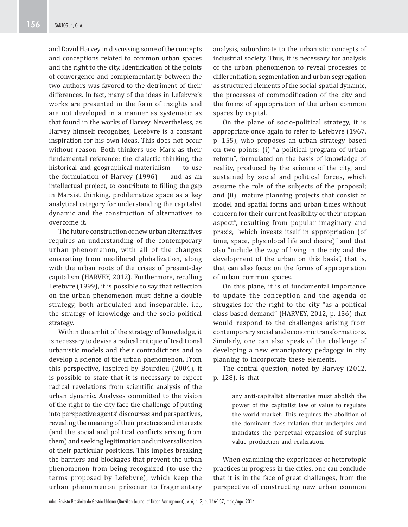and David Harvey in discussing some of the concepts and conceptions related to common urban spaces and the right to the city. Identification of the points of convergence and complementarity between the two authors was favored to the detriment of their differences. In fact, many of the ideas in Lefebvre's works are presented in the form of insights and are not developed in a manner as systematic as that found in the works of Harvey. Nevertheless, as Harvey himself recognizes, Lefebvre is a constant inspiration for his own ideas. This does not occur without reason. Both thinkers use Marx as their fundamental reference: the dialectic thinking, the historical and geographical materialism — to use the formulation of Harvey (1996) — and as an intellectual project, to contribute to filling the gap in Marxist thinking, problematize space as a key analytical category for understanding the capitalist dynamic and the construction of alternatives to overcome it.

The future construction of new urban alternatives requires an understanding of the contemporary urban phenomenon, with all of the changes emanating from neoliberal globalization, along with the urban roots of the crises of present-day capitalism (HARVEY, 2012). Furthermore, recalling Lefebvre (1999), it is possible to say that reflection on the urban phenomenon must define a double strategy, both articulated and inseparable, i.e., the strategy of knowledge and the socio-political strategy.

Within the ambit of the strategy of knowledge, it is necessary to devise a radical critique of traditional urbanistic models and their contradictions and to develop a science of the urban phenomenon. From this perspective, inspired by Bourdieu (2004), it is possible to state that it is necessary to expect radical revelations from scientific analysis of the urban dynamic. Analyses committed to the vision of the right to the city face the challenge of putting into perspective agents' discourses and perspectives, revealing the meaning of their practices and interests (and the social and political conflicts arising from them) and seeking legitimation and universalisation of their particular positions. This implies breaking the barriers and blockages that prevent the urban phenomenon from being recognized (to use the terms proposed by Lefebvre), which keep the urban phenomenon prisoner to fragmentary

analysis, subordinate to the urbanistic concepts of industrial society. Thus, it is necessary for analysis of the urban phenomenon to reveal processes of differentiation, segmentation and urban segregation as structured elements of the social-spatial dynamic, the processes of commodification of the city and the forms of appropriation of the urban common spaces by capital.

On the plane of socio-political strategy, it is appropriate once again to refer to Lefebvre (1967, p. 155), who proposes an urban strategy based on two points: (i) "a political program of urban reform", formulated on the basis of knowledge of reality, produced by the science of the city, and sustained by social and political forces, which assume the role of the subjects of the proposal; and (ii) "mature planning projects that consist of model and spatial forms and urban times without concern for their current feasibility or their utopian aspect", resulting from popular imaginary and praxis, "which invests itself in appropriation (of time, space, physiolocal life and desire)" and that also "include the way of living in the city and the development of the urban on this basis", that is, that can also focus on the forms of appropriation of urban common spaces.

On this plane, it is of fundamental importance to update the conception and the agenda of struggles for the right to the city "as a political class-based demand" (HARVEY, 2012, p. 136) that would respond to the challenges arising from contemporary social and economic transformations. Similarly, one can also speak of the challenge of developing a new emancipatory pedagogy in city planning to incorporate these elements.

The central question, noted by Harvey (2012, p. 128), is that

> any anti-capitalist alternative must abolish the power of the capitalist law of value to regulate the world market. This requires the abolition of the dominant class relation that underpins and mandates the perpetual expansion of surplus value production and realization.

When examining the experiences of heterotopic practices in progress in the cities, one can conclude that it is in the face of great challenges, from the perspective of constructing new urban common